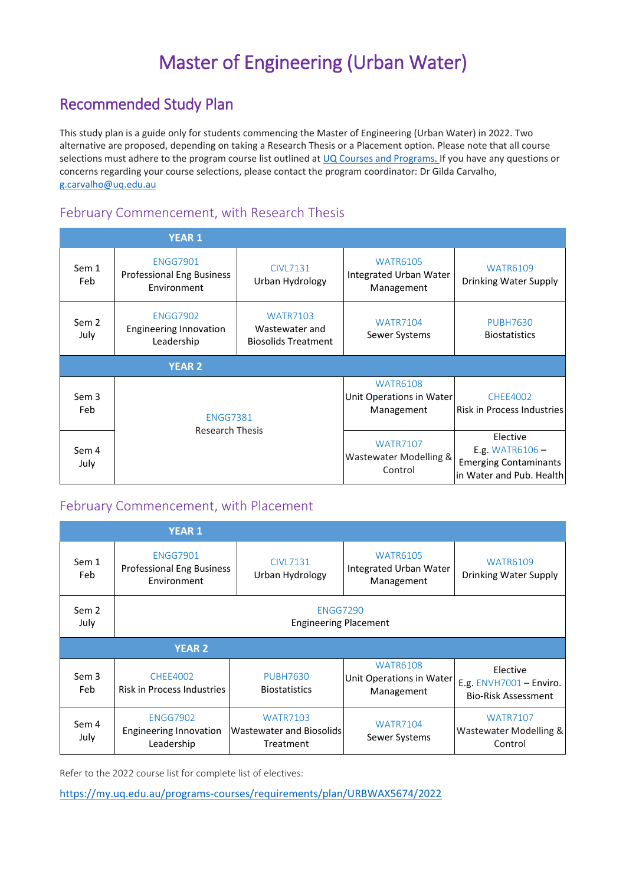# Master of Engineering (Urban Water)

# Recommended Study Plan

This study plan is a guide only for students commencing the Master of Engineering (Urban Water) in 2022. Two alternative are proposed, depending on taking a Research Thesis or a Placement option. Please note that all course selections must adhere to the program course list outlined a[t UQ Courses and Programs.](https://my.uq.edu.au/programs-courses/) If you have any questions or concerns regarding your course selections, please contact the program coordinator: Dr Gilda Carvalho, [g.carvalho@uq.edu.au](mailto:g.carvalho@uq.edu.au)

## February Commencement, with Research Thesis

|               | <b>YEAR 1</b>                                                  |                                                                 |                                                           |                                                                                           |  |
|---------------|----------------------------------------------------------------|-----------------------------------------------------------------|-----------------------------------------------------------|-------------------------------------------------------------------------------------------|--|
| Sem 1<br>Feb  | <b>ENGG7901</b><br>Professional Eng Business<br>Environment    | <b>CIVL7131</b><br>Urban Hydrology                              | <b>WATR6105</b><br>Integrated Urban Water<br>Management   | <b>WATR6109</b><br>Drinking Water Supply                                                  |  |
| Sem 2<br>July | <b>ENGG7902</b><br><b>Engineering Innovation</b><br>Leadership | <b>WATR7103</b><br>Wastewater and<br><b>Biosolids Treatment</b> | <b>WATR7104</b><br>Sewer Systems                          | <b>PUBH7630</b><br><b>Biostatistics</b>                                                   |  |
| <b>YEAR 2</b> |                                                                |                                                                 |                                                           |                                                                                           |  |
| Sem 3<br>Feb  | <b>ENGG7381</b><br><b>Research Thesis</b>                      |                                                                 | <b>WATR6108</b><br>Unit Operations in Water<br>Management | <b>CHEE4002</b><br>Risk in Process Industries                                             |  |
| Sem 4<br>July |                                                                |                                                                 | <b>WATR7107</b><br>Wastewater Modelling &<br>Control      | Elective<br>E.g. WATR6106 $-$<br><b>Emerging Contaminants</b><br>in Water and Pub. Health |  |

#### February Commencement, with Placement

|                          | <b>YEAR 1</b>                                                      |                                                          |                                                                |                                                                   |
|--------------------------|--------------------------------------------------------------------|----------------------------------------------------------|----------------------------------------------------------------|-------------------------------------------------------------------|
| Sem 1<br>Feb             | <b>ENGG7901</b><br><b>Professional Eng Business</b><br>Environment | <b>CIVL7131</b><br>Urban Hydrology                       | <b>WATR6105</b><br><b>Integrated Urban Water</b><br>Management | <b>WATR6109</b><br>Drinking Water Supply                          |
| Sem <sub>2</sub><br>July | <b>ENGG7290</b><br><b>Engineering Placement</b>                    |                                                          |                                                                |                                                                   |
| <b>YEAR 2</b>            |                                                                    |                                                          |                                                                |                                                                   |
| Sem 3<br>Feb             | <b>CHEE4002</b><br><b>Risk in Process Industries</b>               | <b>PUBH7630</b><br><b>Biostatistics</b>                  | <b>WATR6108</b><br>Unit Operations in Water<br>Management      | Elective<br>E.g. ENVH7001 - Enviro.<br><b>Bio-Risk Assessment</b> |
| Sem 4<br>July            | <b>ENGG7902</b><br><b>Engineering Innovation</b><br>Leadership     | <b>WATR7103</b><br>Wastewater and Biosolids<br>Treatment | <b>WATR7104</b><br>Sewer Systems                               | <b>WATR7107</b><br>Wastewater Modelling &<br>Control              |

Refer to the 2022 course list for complete list of electives:

<https://my.uq.edu.au/programs-courses/requirements/plan/URBWAX5674/2022>